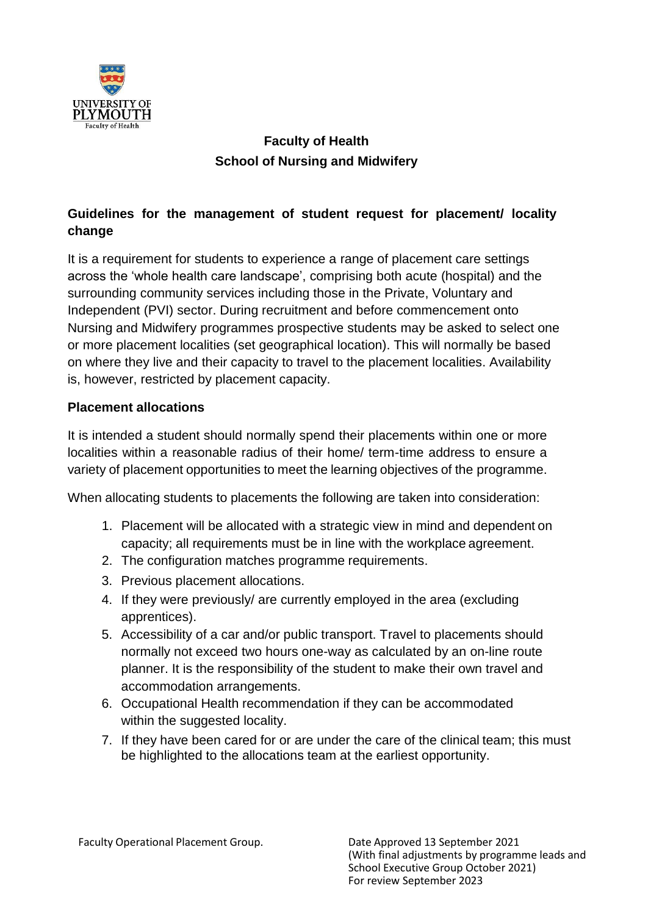

# **Faculty of Health School of Nursing and Midwifery**

## **Guidelines for the management of student request for placement/ locality change**

It is a requirement for students to experience a range of placement care settings across the 'whole health care landscape', comprising both acute (hospital) and the surrounding community services including those in the Private, Voluntary and Independent (PVI) sector. During recruitment and before commencement onto Nursing and Midwifery programmes prospective students may be asked to select one or more placement localities (set geographical location). This will normally be based on where they live and their capacity to travel to the placement localities. Availability is, however, restricted by placement capacity.

## **Placement allocations**

It is intended a student should normally spend their placements within one or more localities within a reasonable radius of their home/ term-time address to ensure a variety of placement opportunities to meet the learning objectives of the programme.

When allocating students to placements the following are taken into consideration:

- 1. Placement will be allocated with a strategic view in mind and dependent on capacity; all requirements must be in line with the workplace agreement.
- 2. The configuration matches programme requirements.
- 3. Previous placement allocations.
- 4. If they were previously/ are currently employed in the area (excluding apprentices).
- 5. Accessibility of a car and/or public transport. Travel to placements should normally not exceed two hours one-way as calculated by an on-line route planner. It is the responsibility of the student to make their own travel and accommodation arrangements.
- 6. Occupational Health recommendation if they can be accommodated within the suggested locality.
- 7. If they have been cared for or are under the care of the clinical team; this must be highlighted to the allocations team at the earliest opportunity.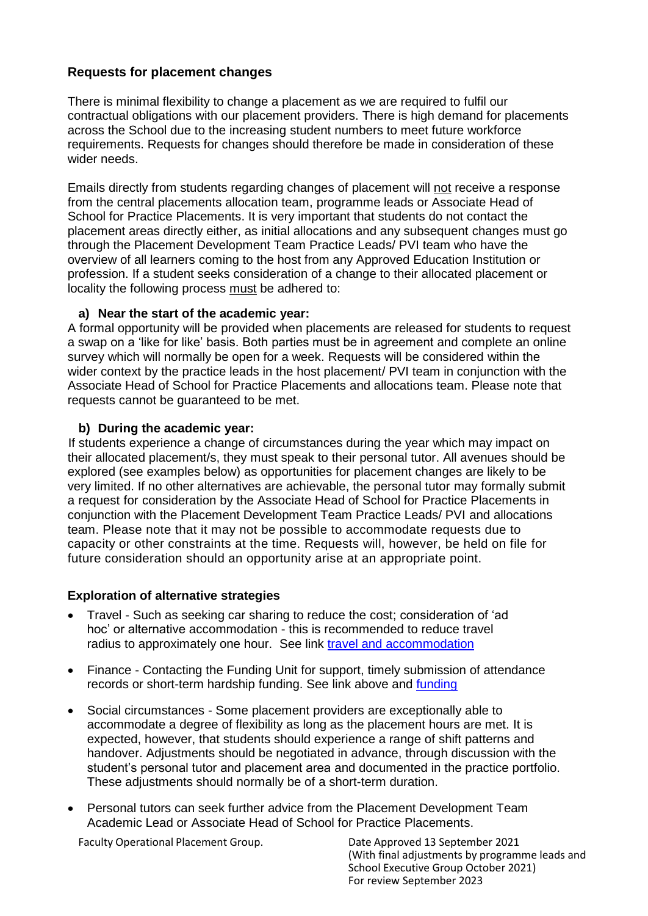## **Requests for placement changes**

There is minimal flexibility to change a placement as we are required to fulfil our contractual obligations with our placement providers. There is high demand for placements across the School due to the increasing student numbers to meet future workforce requirements. Requests for changes should therefore be made in consideration of these wider needs.

Emails directly from students regarding changes of placement will not receive a response from the central placements allocation team, programme leads or Associate Head of School for Practice Placements. It is very important that students do not contact the placement areas directly either, as initial allocations and any subsequent changes must go through the Placement Development Team Practice Leads/ PVI team who have the overview of all learners coming to the host from any Approved Education Institution or profession. If a student seeks consideration of a change to their allocated placement or locality the following process must be adhered to:

#### **a) Near the start of the academic year:**

A formal opportunity will be provided when placements are released for students to request a swap on a 'like for like' basis. Both parties must be in agreement and complete an online survey which will normally be open for a week. Requests will be considered within the wider context by the practice leads in the host placement/ PVI team in conjunction with the Associate Head of School for Practice Placements and allocations team. Please note that requests cannot be guaranteed to be met.

#### **b) During the academic year:**

If students experience a change of circumstances during the year which may impact on their allocated placement/s, they must speak to their personal tutor. All avenues should be explored (see examples below) as opportunities for placement changes are likely to be very limited. If no other alternatives are achievable, the personal tutor may formally submit a request for consideration by the Associate Head of School for Practice Placements in conjunction with the Placement Development Team Practice Leads/ PVI and allocations team. Please note that it may not be possible to accommodate requests due to capacity or other constraints at the time. Requests will, however, be held on file for future consideration should an opportunity arise at an appropriate point.

#### **Exploration of alternative strategies**

- Travel Such as seeking car sharing to reduce the cost; consideration of 'ad hoc' or alternative accommodation - this is recommended to reduce travel radius to approximately one hour. See link [travel and accommodation](https://www.plymouth.ac.uk/student-life/your-studies/academic-services/poppi/students/travel-and-accommodation)
- Finance Contacting the Funding Unit for support, timely submission of attendance records or short-term hardship funding. See link above and [funding](https://www.plymouth.ac.uk/study/fees/scholarships-bursaries-and-funding)
- Social circumstances Some placement providers are exceptionally able to accommodate a degree of flexibility as long as the placement hours are met. It is expected, however, that students should experience a range of shift patterns and handover. Adjustments should be negotiated in advance, through discussion with the student's personal tutor and placement area and documented in the practice portfolio. These adjustments should normally be of a short-term duration.
- Personal tutors can seek further advice from the Placement Development Team Academic Lead or Associate Head of School for Practice Placements.

Faculty Operational Placement Group. Date Approved 13 September 2021

(With final adjustments by programme leads and School Executive Group October 2021) For review September 2023